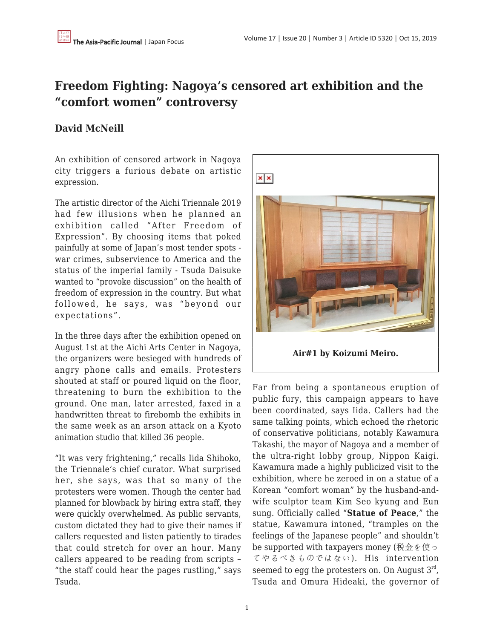## **Freedom Fighting: Nagoya's censored art exhibition and the "comfort women" controversy**

## **David McNeill**

An exhibition of censored artwork in Nagoya city triggers a furious debate on artistic expression.

The artistic director of the Aichi Triennale 2019 had few illusions when he planned an exhibition called "After Freedom of Expression". By choosing items that poked painfully at some of Japan's most tender spots war crimes, subservience to America and the status of the imperial family - Tsuda Daisuke wanted to "provoke discussion" on the health of freedom of expression in the country. But what followed, he says, was "beyond our expectations".

In the three days after the exhibition opened on August 1st at the Aichi Arts Center in Nagoya, the organizers were besieged with hundreds of angry phone calls and emails. Protesters shouted at staff or poured liquid on the floor, threatening to burn the exhibition to the ground. One man, later arrested, faxed in a handwritten threat to firebomb the exhibits in the same week as an arson attack on a Kyoto animation studio that killed 36 people.

"It was very frightening," recalls Iida Shihoko, the Triennale's chief curator. What surprised her, she says, was that so many of the protesters were women. Though the center had planned for blowback by hiring extra staff, they were quickly overwhelmed. As public servants, custom dictated they had to give their names if callers requested and listen patiently to tirades that could stretch for over an hour. Many callers appeared to be reading from scripts – "the staff could hear the pages rustling," says Tsuda.



Far from being a spontaneous eruption of public fury, this campaign appears to have been coordinated, says Iida. Callers had the same talking points, which echoed the rhetoric of conservative politicians, notably Kawamura Takashi, the mayor of Nagoya and a member of the ultra-right lobby group, Nippon Kaigi. Kawamura made a highly publicized visit to the exhibition, where he zeroed in on a statue of a Korean "comfort woman" by the husband-andwife sculptor team Kim Seo kyung and Eun sung. Officially called "**Statue of Peace**," the statue, Kawamura intoned, "tramples on the feelings of the Japanese people" and shouldn't be supported with taxpayers money (税金を使っ てやるべきものではない). His intervention seemed to egg the protesters on. On August  $3<sup>rd</sup>$ , Tsuda and Omura Hideaki, the governor of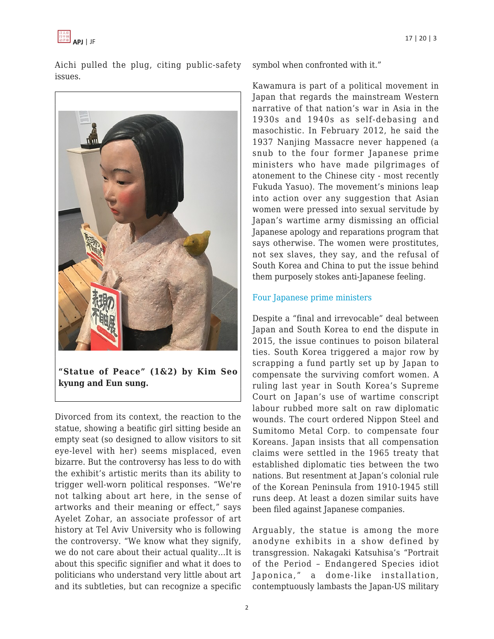

Aichi pulled the plug, citing public-safety issues.



**"Statue of Peace" (1&2) by Kim Seo kyung and Eun sung.**

Divorced from its context, the reaction to the statue, showing a beatific girl sitting beside an empty seat (so designed to allow visitors to sit eye-level with her) seems misplaced, even bizarre. But the controversy has less to do with the exhibit's artistic merits than its ability to trigger well-worn political responses. "We're not talking about art here, in the sense of artworks and their meaning or effect," says Ayelet Zohar, an associate professor of art history at Tel Aviv University who is following the controversy. "We know what they signify, we do not care about their actual quality…It is about this specific signifier and what it does to politicians who understand very little about art and its subtleties, but can recognize a specific symbol when confronted with it."

Kawamura is part of a political movement in Japan that regards the mainstream Western narrative of that nation's war in Asia in the 1930s and 1940s as self-debasing and masochistic. In February 2012, he said the 1937 Nanjing Massacre never happened (a snub to the four former Japanese prime ministers who have made pilgrimages of atonement to the Chinese city - most recently Fukuda Yasuo). The movement's minions leap into action over any suggestion that Asian women were pressed into sexual servitude by Japan's wartime army dismissing an official Japanese apology and reparations program that says otherwise. The women were prostitutes, not sex slaves, they say, and the refusal of South Korea and China to put the issue behind them purposely stokes anti-Japanese feeling.

## [Four Japanese prime ministers](https://www.japantimes.co.jp/news/2018/06/26/national/ex-prime-minister-yasuo-fukuda-visits-memorial-hall-nanjing-massacre-victims/#.XZwdmi2B2qA)

Despite a "final and irrevocable" deal between Japan and South Korea to end the dispute in 2015, the issue continues to poison bilateral ties. South Korea triggered a major row by scrapping a fund partly set up by Japan to compensate the surviving comfort women. A ruling last year in South Korea's Supreme Court on Japan's use of wartime conscript labour rubbed more salt on raw diplomatic wounds. The court ordered Nippon Steel and Sumitomo Metal Corp. to compensate four Koreans. Japan insists that all compensation claims were settled in the 1965 treaty that established diplomatic ties between the two nations. But resentment at Japan's colonial rule of the Korean Peninsula from 1910-1945 still runs deep. At least a dozen similar suits have been filed against Japanese companies.

Arguably, the statue is among the more anodyne exhibits in a show defined by transgression. Nakagaki Katsuhisa's "Portrait of the Period – Endangered Species idiot Japonica," a dome-like installation, contemptuously lambasts the Japan-US military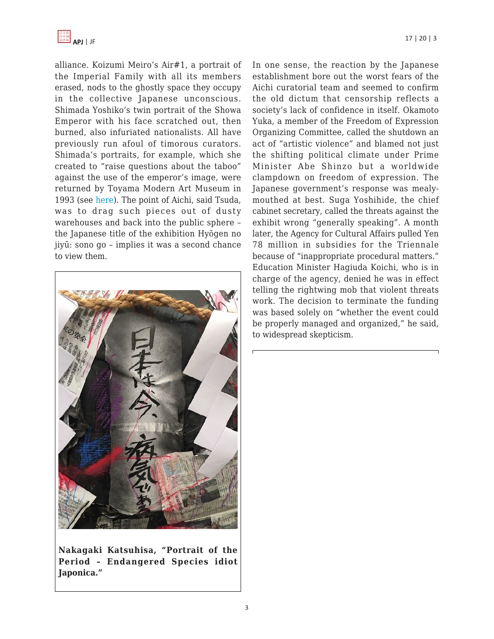

alliance. Koizumi Meiro's Air#1, a portrait of the Imperial Family with all its members erased, nods to the ghostly space they occupy in the collective Japanese unconscious. Shimada Yoshiko's twin portrait of the Showa Emperor with his face scratched out, then burned, also infuriated nationalists. All have previously run afoul of timorous curators. Shimada's portraits, for example, which she created to "raise questions about the taboo" against the use of the emperor's image, were returned by Toyama Modern Art Museum in 1993 (see [here\)](https://www.tandfonline.com/doi/abs/10.1080/14672715.1994.10416162). The point of Aichi, said Tsuda, was to drag such pieces out of dusty warehouses and back into the public sphere – the Japanese title of the exhibition Hyōgen no jiyū: sono go – implies it was a second chance to view them.



**Nakagaki Katsuhisa, "Portrait of the Period – Endangered Species idiot Japonica."**

In one sense, the reaction by the Japanese establishment bore out the worst fears of the Aichi curatorial team and seemed to confirm the old dictum that censorship reflects a society's lack of confidence in itself. Okamoto Yuka, a member of the Freedom of Expression Organizing Committee, called the shutdown an act of "artistic violence" and blamed not just the shifting political climate under Prime Minister Abe Shinzo but a worldwide clampdown on freedom of expression. The Japanese government's response was mealymouthed at best. Suga Yoshihide, the chief cabinet secretary, called the threats against the exhibit wrong "generally speaking". A month later, the Agency for Cultural Affairs pulled Yen 78 million in subsidies for the Triennale because of "inappropriate procedural matters." Education Minister Hagiuda Koichi, who is in charge of the agency, denied he was in effect telling the rightwing mob that violent threats work. The decision to terminate the funding was based solely on "whether the event could be properly managed and organized," he said, to widespread skepticism.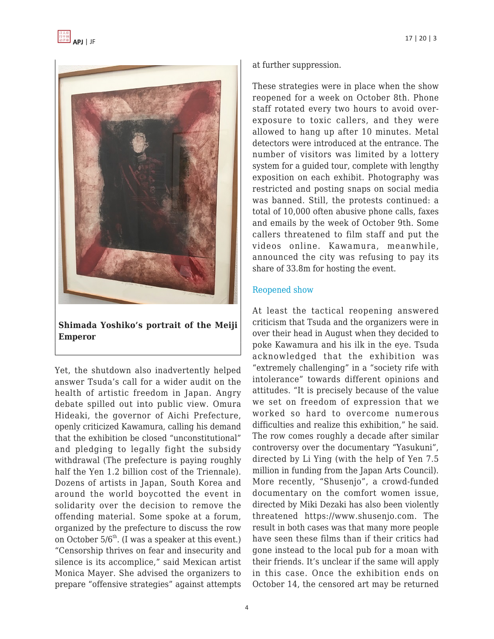

**Shimada Yoshiko's portrait of the Meiji Emperor**

Yet, the shutdown also inadvertently helped answer Tsuda's call for a wider audit on the health of artistic freedom in Japan. Angry debate spilled out into public view. Omura Hideaki, the governor of Aichi Prefecture, openly criticized Kawamura, calling his demand that the exhibition be closed "unconstitutional" and pledging to legally fight the subsidy withdrawal (The prefecture is paying roughly half the Yen 1.2 billion cost of the Triennale). Dozens of artists in Japan, South Korea and around the world boycotted the event in solidarity over the decision to remove the offending material. Some spoke at a forum, organized by the prefecture to discuss the row on October  $5/6^{th}$ . (I was a speaker at this event.) "Censorship thrives on fear and insecurity and silence is its accomplice," said Mexican artist Monica Mayer. She advised the organizers to prepare "offensive strategies" against attempts at further suppression.

These strategies were in place when the show reopened for a week on October 8th. Phone staff rotated every two hours to avoid overexposure to toxic callers, and they were allowed to hang up after 10 minutes. Metal detectors were introduced at the entrance. The number of visitors was limited by a lottery system for a guided tour, complete with lengthy exposition on each exhibit. Photography was restricted and posting snaps on social media was banned. Still, the protests continued: a total of 10,000 often abusive phone calls, faxes and emails by the week of October 9th. Some callers threatened to film staff and put the videos online. Kawamura, meanwhile, announced the city was refusing to pay its share of 33.8m for hosting the event.

## [Reopened show](https://www.japantimes.co.jp/news/2019/10/08/national/controversial-art-exhibition-comfort-woman-statue-nagoya-south-korea/#.XZ7B_S17E_U)

At least the tactical reopening answered criticism that Tsuda and the organizers were in over their head in August when they decided to poke Kawamura and his ilk in the eye. Tsuda acknowledged that the exhibition was "extremely challenging" in a "society rife with intolerance" towards different opinions and attitudes. "It is precisely because of the value we set on freedom of expression that we worked so hard to overcome numerous difficulties and realize this exhibition," he said. The row comes roughly a decade after similar controversy over the documentary "Yasukuni", directed by Li Ying (with the help of Yen 7.5 million in funding from the Japan Arts Council). More recently, "Shusenjo", a crowd-funded documentary on the comfort women issue, directed by Miki Dezaki has also been violently threatened https://www.shusenjo.com. The result in both cases was that many more people have seen these films than if their critics had gone instead to the local pub for a moan with their friends. It's unclear if the same will apply in this case. Once the exhibition ends on October 14, the censored art may be returned